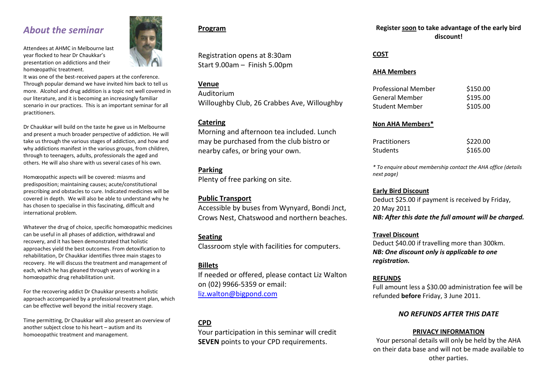# *About the seminar*

Attendees at AHMC in Melbourne last year flocked to hear Dr Chaukkar's presentation on addictions and their homœopathic treatment.

It was one of the best-received papers at the conference. Through popular demand we have invited him back to tell us more. Alcohol and drug addition is a topic not well covered in our literature, and it is becoming an increasingly familiar scenario in our practices. This is an important seminar for all practitioners.

Dr Chaukkar will build on the taste he gave us in Melbourne and present a much broader perspective of addiction. He will take us through the various stages of addiction, and how and why addictions manifest in the various groups, from children, through to teenagers, adults, professionals the aged and others. He will also share with us several cases of his own.

Homœopathic aspects will be covered: miasms and predisposition; maintaining causes; acute/constitutional prescribing and obstacles to cure. Indicated medicines will be covered in depth. We will also be able to understand why he has chosen to specialise in this fascinating, difficult and international problem.

Whatever the drug of choice, specific homœopathic medicines can be useful in all phases of addiction, withdrawal and recovery, and it has been demonstrated that holistic approaches yield the best outcomes. From detoxification to rehabilitation, Dr Chaukkar identifies three main stages to recovery. He will discuss the treatment and management of each, which he has gleaned through years of working in a homœopathic drug rehabilitation unit.

For the recovering addict Dr Chaukkar presents a holistic approach accompanied by a professional treatment plan, which can be effective well beyond the initial recovery stage.

Time permitting, Dr Chaukkar will also present an overview of another subject close to his heart – autism and its homoeopathic treatment and management.

#### **Program**

Registration opens at 8:30am Start 9.00am – Finish 5.00pm

#### **Venue**

Auditorium Willoughby Club, 26 Crabbes Ave, Willoughby

#### **Catering**

Morning and afternoon tea included. Lunch may be purchased from the club bistro or nearby cafes, or bring your own.

#### **Parking**

Plenty of free parking on site.

#### **Public Transport**

Accessible by buses from Wynyard, Bondi Jnct, Crows Nest, Chatswood and northern beaches.

#### **Seating**

Classroom style with facilities for computers.

### **Billets**

If needed or offered, please contact Liz Walton on (02) 9966-5359 or email: [liz.walton@bigpond.com](mailto:liz.walton@bigpond.com)

## **CPD**

Your participation in this seminar will credit **SEVEN** points to your CPD requirements.

#### **Register soon to take advantage of the early bird discount!**

#### **COST**

#### **AHA Members**

| <b>Professional Member</b> | \$150.00 |
|----------------------------|----------|
| <b>General Member</b>      | \$195.00 |
| <b>Student Member</b>      | \$105.00 |

#### **Non AHA Members\***

| <b>Practitioners</b> | \$220.00 |
|----------------------|----------|
| <b>Students</b>      | \$165.00 |

*\* To enquire about membership contact the AHA office (details next page)*

#### **Early Bird Discount**

Deduct \$25.00 if payment is received by Friday, 20 May 2011 *NB: After this date the full amount will be charged.*

#### **Travel Discount**

Deduct \$40.00 if travelling more than 300km. *NB: One discount only is applicable to one registration.*

#### **REFUNDS**

Full amount less a \$30.00 administration fee will be refunded **before** Friday, 3 June 2011.

#### *NO REFUNDS AFTER THIS DATE*

#### **PRIVACY INFORMATION**

Your personal details will only be held by the AHA on their data base and will not be made available to other parties.